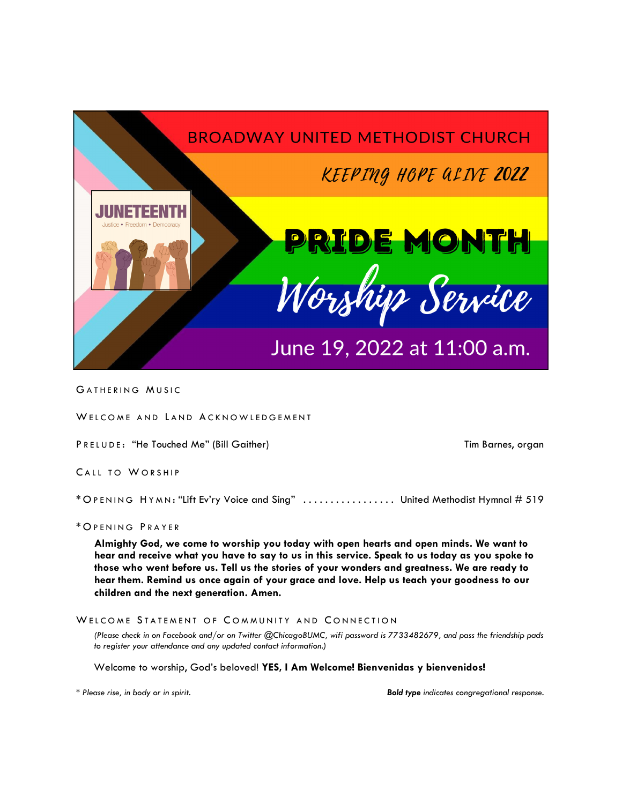

GATHERING MUSIC

WELCOME AND LAND ACKNOWLEDGEMENT

PRELUDE: "He Touched Me" (Bill Gaither) Tim Barnes, organ

CALL TO WORSHIP

\* O PENING H YMN : "Lift Ev'ry Voice and Sing" . . . . . . . . . . . . . . . . . United Methodist Hymnal # 519

# \* O PENING P RAYER

**Almighty God, we come to worship you today with open hearts and open minds. We want to hear and receive what you have to say to us in this service. Speak to us today as you spoke to those who went before us. Tell us the stories of your wonders and greatness. We are ready to hear them. Remind us once again of your grace and love. Help us teach your goodness to our children and the next generation. Amen.** 

# WELCOME STATEMENT OF COMMUNITY AND CONNECTION

*(Please check in on Facebook and/or on Twitter @ChicagoBUMC, wifi password is 7733482679, and pass the friendship pads to register your attendance and any updated contact information.)*

Welcome to worship, God's beloved! **YES, I Am Welcome! Bienvenidas y bienvenidos!** 

*\* Please rise, in body or in spirit. Bold type indicates congregational response.*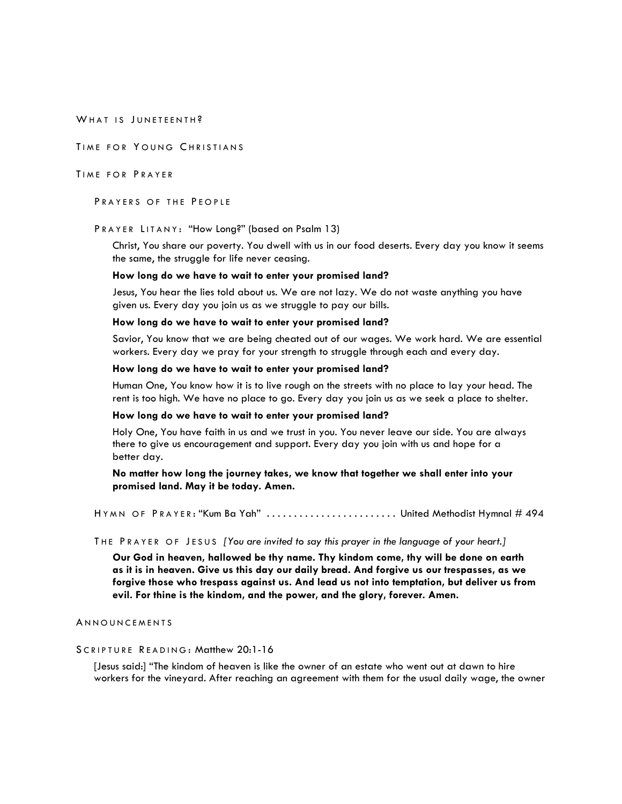WHAT IS JUNETEENTH?

TIME FOR YOUNG CHRISTIANS

## TIME FOR PRAYER

PRAYERS OF THE PEOPLE

# PRAYER LITANY: "How Long?" (based on Psalm 13)

Christ, You share our poverty. You dwell with us in our food deserts. Every day you know it seems the same, the struggle for life never ceasing.

#### **How long do we have to wait to enter your promised land?**

Jesus, You hear the lies told about us. We are not lazy. We do not waste anything you have given us. Every day you join us as we struggle to pay our bills.

#### **How long do we have to wait to enter your promised land?**

Savior, You know that we are being cheated out of our wages. We work hard. We are essential workers. Every day we pray for your strength to struggle through each and every day.

### **How long do we have to wait to enter your promised land?**

Human One, You know how it is to live rough on the streets with no place to lay your head. The rent is too high. We have no place to go. Every day you join us as we seek a place to shelter.

#### **How long do we have to wait to enter your promised land?**

Holy One, You have faith in us and we trust in you. You never leave our side. You are always there to give us encouragement and support. Every day you join with us and hope for a better day.

**No matter how long the journey takes, we know that together we shall enter into your promised land. May it be today. Amen.**

HYMN OF PRAYER: "Kum Ba Yah" ......................... United Methodist Hymnal # 494

### THE PRAYER OF JESUS *[You are invited to say this prayer in the language of your heart.]*

**Our God in heaven, hallowed be thy name. Thy kindom come, thy will be done on earth as it is in heaven. Give us this day our daily bread. And forgive us our trespasses, as we forgive those who trespass against us. And lead us not into temptation, but deliver us from evil. For thine is the kindom, and the power, and the glory, forever. Amen.**

## **ANNOUNCEMENTS**

# SCRIPTURE READING: Matthew 20:1-16

[Jesus said:] "The kindom of heaven is like the owner of an estate who went out at dawn to hire workers for the vineyard. After reaching an agreement with them for the usual daily wage, the owner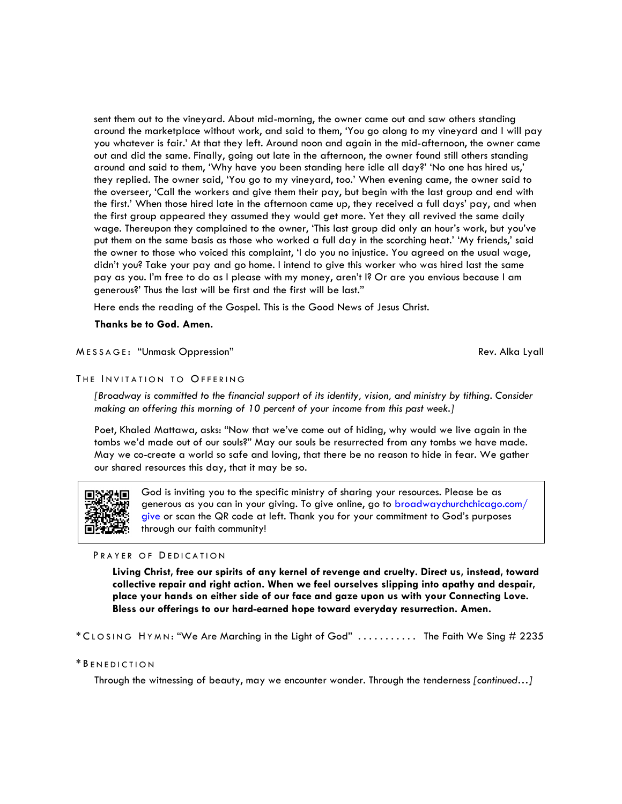sent them out to the vineyard. About mid-morning, the owner came out and saw others standing around the marketplace without work, and said to them, 'You go along to my vineyard and I will pay you whatever is fair.' At that they left. Around noon and again in the mid-afternoon, the owner came out and did the same. Finally, going out late in the afternoon, the owner found still others standing around and said to them, 'Why have you been standing here idle all day?' 'No one has hired us,' they replied. The owner said, 'You go to my vineyard, too.' When evening came, the owner said to the overseer, 'Call the workers and give them their pay, but begin with the last group and end with the first.' When those hired late in the afternoon came up, they received a full days' pay, and when the first group appeared they assumed they would get more. Yet they all revived the same daily wage. Thereupon they complained to the owner, 'This last group did only an hour's work, but you've put them on the same basis as those who worked a full day in the scorching heat.' 'My friends,' said the owner to those who voiced this complaint, 'I do you no injustice. You agreed on the usual wage, didn't you? Take your pay and go home. I intend to give this worker who was hired last the same pay as you. I'm free to do as I please with my money, aren't I? Or are you envious because I am generous?' Thus the last will be first and the first will be last."

Here ends the reading of the Gospel. This is the Good News of Jesus Christ.

**Thanks be to God. Amen.** 

# MESSAGE: "Unmask Oppression" and the state of the state of the Rev. Alka Lyall

## THE INVITATION TO OFFERING

*[Broadway is committed to the financial support of its identity, vision, and ministry by tithing. Consider making an offering this morning of 10 percent of your income from this past week.]* 

Poet, Khaled Mattawa, asks: "Now that we've come out of hiding, why would we live again in the tombs we'd made out of our souls?" May our souls be resurrected from any tombs we have made. May we co-create a world so safe and loving, that there be no reason to hide in fear. We gather our shared resources this day, that it may be so.



God is inviting you to the specific ministry of sharing your resources. Please be as generous as you can in your giving. To give online, go to broadwaychurchchicago.com/ give or scan the QR code at left. Thank you for your commitment to God's purposes through our faith community!

#### PRAYER OF DEDICATION

**Living Christ, free our spirits of any kernel of revenge and cruelty. Direct us, instead, toward collective repair and right action. When we feel ourselves slipping into apathy and despair, place your hands on either side of our face and gaze upon us with your Connecting Love. Bless our offerings to our hard-earned hope toward everyday resurrection. Amen.** 

\* C LOSING H YMN : "We Are Marching in the Light of God" . . . . . . . . . . . The Faith We Sing # 2235

## \* B ENEDICTION

Through the witnessing of beauty, may we encounter wonder. Through the tenderness *[continued…]*